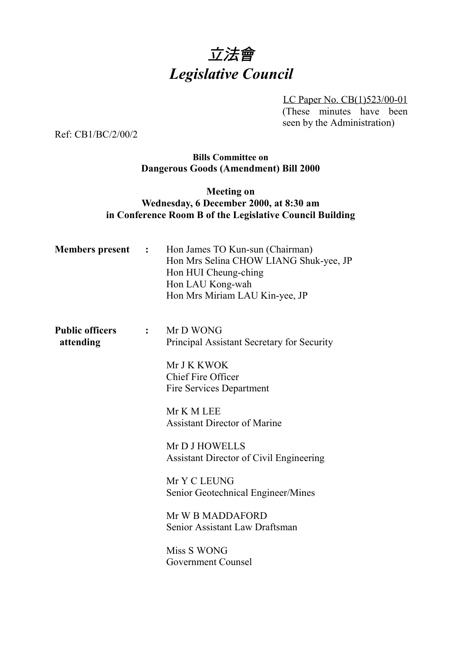# 立法會 *Legislative Council*

LC Paper No. CB(1)523/00-01 (These minutes have been seen by the Administration)

Ref: CB1/BC/2/00/2

### **Bills Committee on Dangerous Goods (Amendment) Bill 2000**

## **Meeting on Wednesday, 6 December 2000, at 8:30 am in Conference Room B of the Legislative Council Building**

| <b>Members present :</b>            |              | Hon James TO Kun-sun (Chairman)<br>Hon Mrs Selina CHOW LIANG Shuk-yee, JP<br>Hon HUI Cheung-ching<br>Hon LAU Kong-wah<br>Hon Mrs Miriam LAU Kin-yee, JP |
|-------------------------------------|--------------|---------------------------------------------------------------------------------------------------------------------------------------------------------|
| <b>Public officers</b><br>attending | $\mathbf{L}$ | Mr D WONG<br>Principal Assistant Secretary for Security                                                                                                 |
|                                     |              | Mr J K KWOK<br><b>Chief Fire Officer</b><br><b>Fire Services Department</b>                                                                             |
|                                     |              | Mr K M LEE<br><b>Assistant Director of Marine</b>                                                                                                       |
|                                     |              | Mr D J HOWELLS<br><b>Assistant Director of Civil Engineering</b>                                                                                        |
|                                     |              | Mr Y C LEUNG<br>Senior Geotechnical Engineer/Mines                                                                                                      |
|                                     |              | Mr W B MADDAFORD<br>Senior Assistant Law Draftsman                                                                                                      |
|                                     |              | Miss S WONG<br><b>Government Counsel</b>                                                                                                                |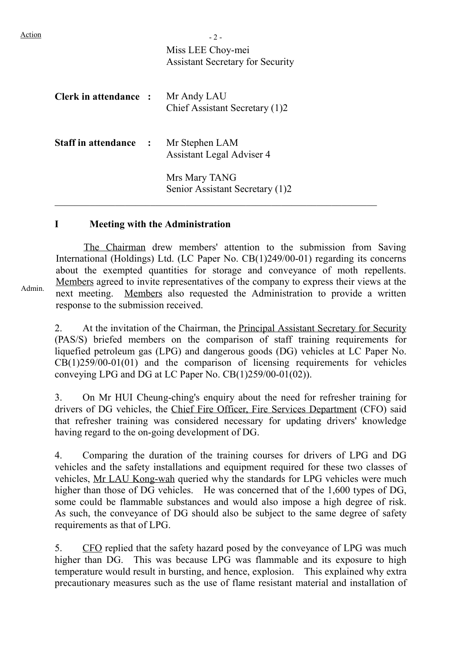| Action |                                             | $-2-$                                            |
|--------|---------------------------------------------|--------------------------------------------------|
|        |                                             | Miss LEE Choy-mei                                |
|        |                                             | <b>Assistant Secretary for Security</b>          |
|        | <b>Clerk in attendance : Mr Andy LAU</b>    | Chief Assistant Secretary (1)2                   |
|        | <b>Staff in attendance : Mr Stephen LAM</b> | Assistant Legal Adviser 4                        |
|        |                                             | Mrs Mary TANG<br>Senior Assistant Secretary (1)2 |

### **I Meeting with the Administration**

The Chairman drew members' attention to the submission from Saving International (Holdings) Ltd. (LC Paper No. CB(1)249/00-01) regarding its concerns about the exempted quantities for storage and conveyance of moth repellents. Members agreed to invite representatives of the company to express their views at the next meeting. Members also requested the Administration to provide a written response to the submission received.

2. At the invitation of the Chairman, the Principal Assistant Secretary for Security (PAS/S) briefed members on the comparison of staff training requirements for liquefied petroleum gas (LPG) and dangerous goods (DG) vehicles at LC Paper No. CB(1)259/00-01(01) and the comparison of licensing requirements for vehicles conveying LPG and DG at LC Paper No. CB(1)259/00-01(02)).

3. On Mr HUI Cheung-ching's enquiry about the need for refresher training for drivers of DG vehicles, the Chief Fire Officer, Fire Services Department (CFO) said that refresher training was considered necessary for updating drivers' knowledge having regard to the on-going development of DG.

4. Comparing the duration of the training courses for drivers of LPG and DG vehicles and the safety installations and equipment required for these two classes of vehicles, Mr LAU Kong-wah queried why the standards for LPG vehicles were much higher than those of DG vehicles. He was concerned that of the 1,600 types of DG, some could be flammable substances and would also impose a high degree of risk. As such, the conveyance of DG should also be subject to the same degree of safety requirements as that of LPG.

5. CFO replied that the safety hazard posed by the conveyance of LPG was much higher than DG. This was because LPG was flammable and its exposure to high temperature would result in bursting, and hence, explosion. This explained why extra precautionary measures such as the use of flame resistant material and installation of

Admin.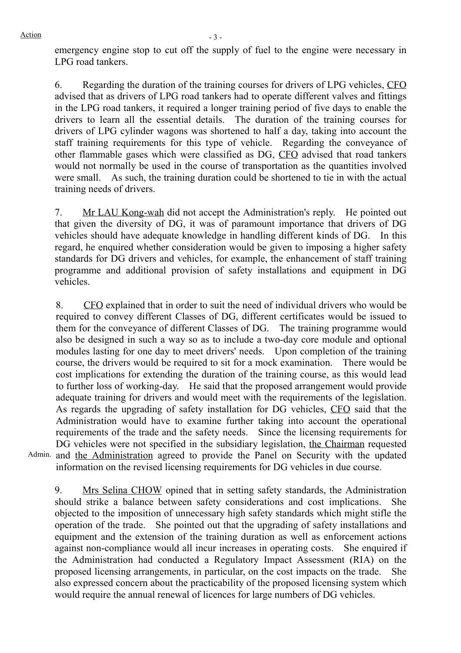emergency engine stop to cut off the supply of fuel to the engine were necessary in LPG road tankers.

6. Regarding the duration of the training courses for drivers of LPG vehicles, CFO advised that as drivers of LPG road tankers had to operate different valves and fittings in the LPG road tankers, it required a longer training period of five days to enable the drivers to learn all the essential details. The duration of the training courses for drivers of LPG cylinder wagons was shortened to half a day, taking into account the staff training requirements for this type of vehicle. Regarding the conveyance of other flammable gases which were classified as DG, CFO advised that road tankers would not normally be used in the course of transportation as the quantities involved were small. As such, the training duration could be shortened to tie in with the actual training needs of drivers.

7. Mr LAU Kong-wah did not accept the Administration's reply. He pointed out that given the diversity of DG, it was of paramount importance that drivers of DG vehicles should have adequate knowledge in handling different kinds of DG. In this regard, he enquired whether consideration would be given to imposing a higher safety standards for DG drivers and vehicles, for example, the enhancement of staff training programme and additional provision of safety installations and equipment in DG vehicles.

8. CFO explained that in order to suit the need of individual drivers who would be required to convey different Classes of DG, different certificates would be issued to them for the conveyance of different Classes of DG. The training programme would also be designed in such a way so as to include a two-day core module and optional modules lasting for one day to meet drivers' needs. Upon completion of the training course, the drivers would be required to sit for a mock examination. There would be cost implications for extending the duration of the training course, as this would lead to further loss of working-day. He said that the proposed arrangement would provide adequate training for drivers and would meet with the requirements of the legislation. As regards the upgrading of safety installation for DG vehicles, CFO said that the Administration would have to examine further taking into account the operational requirements of the trade and the safety needs. Since the licensing requirements for DG vehicles were not specified in the subsidiary legislation, the Chairman requested and the Administration agreed to provide the Panel on Security with the updated information on the revised licensing requirements for DG vehicles in due course.

Admin.

9. Mrs Selina CHOW opined that in setting safety standards, the Administration should strike a balance between safety considerations and cost implications. She objected to the imposition of unnecessary high safety standards which might stifle the operation of the trade. She pointed out that the upgrading of safety installations and equipment and the extension of the training duration as well as enforcement actions against non-compliance would all incur increases in operating costs. She enquired if the Administration had conducted a Regulatory Impact Assessment (RIA) on the proposed licensing arrangements, in particular, on the cost impacts on the trade. She also expressed concern about the practicability of the proposed licensing system which would require the annual renewal of licences for large numbers of DG vehicles.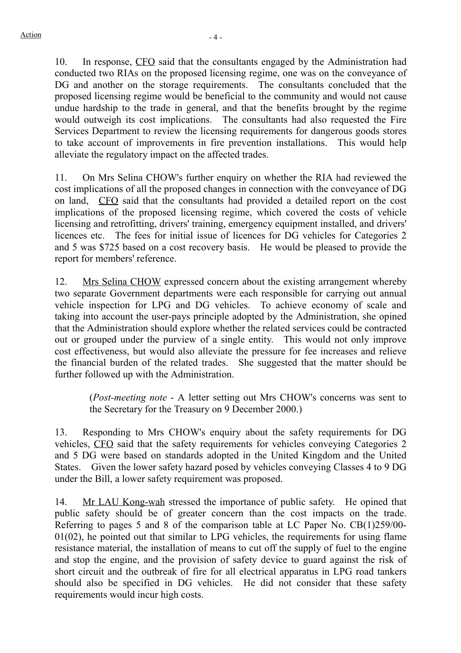10. In response, CFO said that the consultants engaged by the Administration had conducted two RIAs on the proposed licensing regime, one was on the conveyance of DG and another on the storage requirements. The consultants concluded that the proposed licensing regime would be beneficial to the community and would not cause undue hardship to the trade in general, and that the benefits brought by the regime would outweigh its cost implications. The consultants had also requested the Fire Services Department to review the licensing requirements for dangerous goods stores to take account of improvements in fire prevention installations. This would help alleviate the regulatory impact on the affected trades.

11. On Mrs Selina CHOW's further enquiry on whether the RIA had reviewed the cost implications of all the proposed changes in connection with the conveyance of DG on land, CFO said that the consultants had provided a detailed report on the cost implications of the proposed licensing regime, which covered the costs of vehicle licensing and retrofitting, drivers' training, emergency equipment installed, and drivers' licences etc. The fees for initial issue of licences for DG vehicles for Categories 2 and 5 was \$725 based on a cost recovery basis. He would be pleased to provide the report for members' reference.

12. Mrs Selina CHOW expressed concern about the existing arrangement whereby two separate Government departments were each responsible for carrying out annual vehicle inspection for LPG and DG vehicles. To achieve economy of scale and taking into account the user-pays principle adopted by the Administration, she opined that the Administration should explore whether the related services could be contracted out or grouped under the purview of a single entity. This would not only improve cost effectiveness, but would also alleviate the pressure for fee increases and relieve the financial burden of the related trades. She suggested that the matter should be further followed up with the Administration.

(*Post-meeting note* - A letter setting out Mrs CHOW's concerns was sent to the Secretary for the Treasury on 9 December 2000.)

13. Responding to Mrs CHOW's enquiry about the safety requirements for DG vehicles, CFO said that the safety requirements for vehicles conveying Categories 2 and 5 DG were based on standards adopted in the United Kingdom and the United States. Given the lower safety hazard posed by vehicles conveying Classes 4 to 9 DG under the Bill, a lower safety requirement was proposed.

14. Mr LAU Kong-wah stressed the importance of public safety. He opined that public safety should be of greater concern than the cost impacts on the trade. Referring to pages 5 and 8 of the comparison table at LC Paper No. CB(1)259/00- 01(02), he pointed out that similar to LPG vehicles, the requirements for using flame resistance material, the installation of means to cut off the supply of fuel to the engine and stop the engine, and the provision of safety device to guard against the risk of short circuit and the outbreak of fire for all electrical apparatus in LPG road tankers should also be specified in DG vehicles. He did not consider that these safety requirements would incur high costs.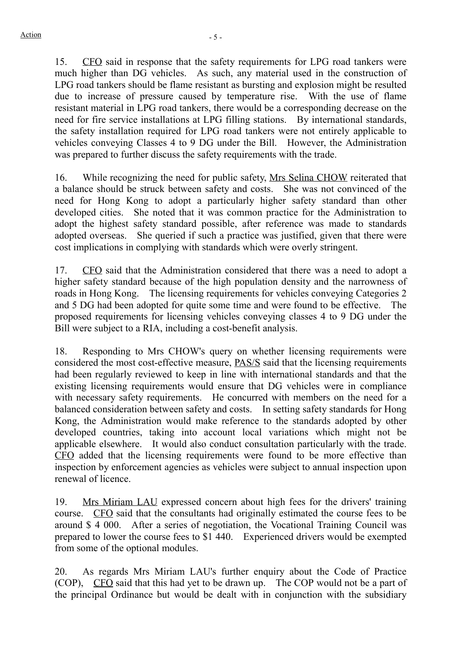15. CFO said in response that the safety requirements for LPG road tankers were much higher than DG vehicles. As such, any material used in the construction of LPG road tankers should be flame resistant as bursting and explosion might be resulted due to increase of pressure caused by temperature rise. With the use of flame resistant material in LPG road tankers, there would be a corresponding decrease on the need for fire service installations at LPG filling stations. By international standards, the safety installation required for LPG road tankers were not entirely applicable to vehicles conveying Classes 4 to 9 DG under the Bill. However, the Administration was prepared to further discuss the safety requirements with the trade.

16. While recognizing the need for public safety, Mrs Selina CHOW reiterated that a balance should be struck between safety and costs. She was not convinced of the need for Hong Kong to adopt a particularly higher safety standard than other developed cities. She noted that it was common practice for the Administration to adopt the highest safety standard possible, after reference was made to standards adopted overseas. She queried if such a practice was justified, given that there were cost implications in complying with standards which were overly stringent.

17. CFO said that the Administration considered that there was a need to adopt a higher safety standard because of the high population density and the narrowness of roads in Hong Kong. The licensing requirements for vehicles conveying Categories 2 and 5 DG had been adopted for quite some time and were found to be effective. The proposed requirements for licensing vehicles conveying classes 4 to 9 DG under the Bill were subject to a RIA, including a cost-benefit analysis.

18. Responding to Mrs CHOW's query on whether licensing requirements were considered the most cost-effective measure, PAS/S said that the licensing requirements had been regularly reviewed to keep in line with international standards and that the existing licensing requirements would ensure that DG vehicles were in compliance with necessary safety requirements. He concurred with members on the need for a balanced consideration between safety and costs. In setting safety standards for Hong Kong, the Administration would make reference to the standards adopted by other developed countries, taking into account local variations which might not be applicable elsewhere. It would also conduct consultation particularly with the trade. CFO added that the licensing requirements were found to be more effective than inspection by enforcement agencies as vehicles were subject to annual inspection upon renewal of licence.

19. Mrs Miriam LAU expressed concern about high fees for the drivers' training course. CFO said that the consultants had originally estimated the course fees to be around \$ 4 000. After a series of negotiation, the Vocational Training Council was prepared to lower the course fees to \$1 440. Experienced drivers would be exempted from some of the optional modules.

20. As regards Mrs Miriam LAU's further enquiry about the Code of Practice (COP), CFO said that this had yet to be drawn up. The COP would not be a part of the principal Ordinance but would be dealt with in conjunction with the subsidiary